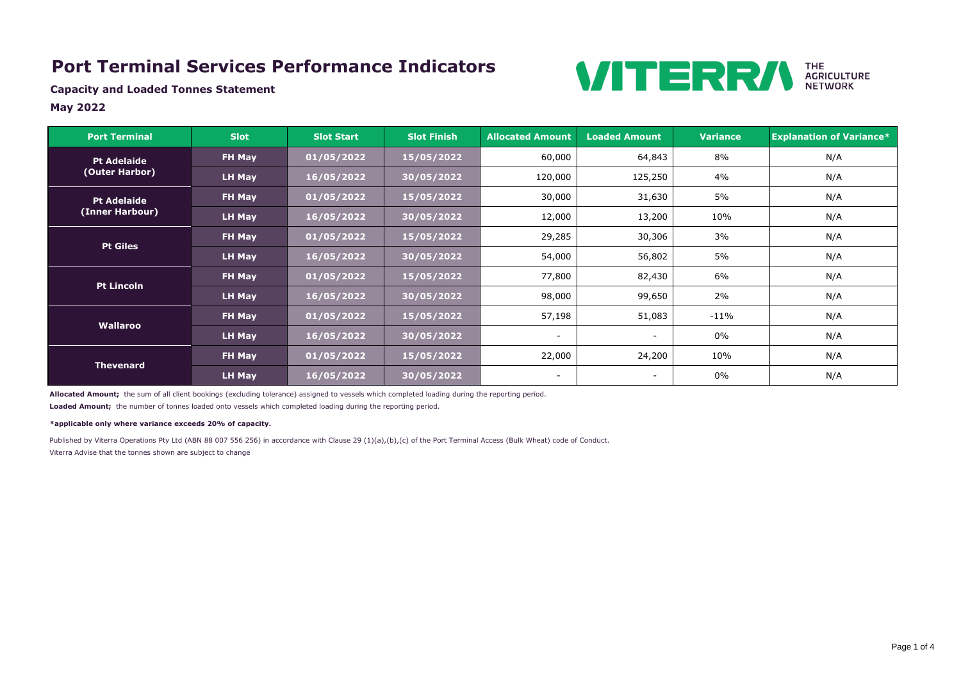### **Port Terminal Services Performance Indicators**



**Capacity and Loaded Tonnes Statement**

### **May 2022**

Published by Viterra Operations Pty Ltd (ABN 88 007 556 256) in accordance with Clause 29 (1)(a),(b),(c) of the Port Terminal Access (Bulk Wheat) code of Conduct. Viterra Advise that the tonnes shown are subject to change

| <b>Port Terminal</b>                 | <b>Slot</b>   |            | <b>Slot Finish</b> | <b>Allocated Amount</b>      | <b>Loaded Amount</b>         | <b>Variance</b> | <b>Explanation of Variance*</b> |
|--------------------------------------|---------------|------------|--------------------|------------------------------|------------------------------|-----------------|---------------------------------|
| <b>Pt Adelaide</b><br>(Outer Harbor) | FH May        | 01/05/2022 | 15/05/2022         | 60,000                       | 64,843                       | 8%              | N/A                             |
|                                      | LH May        | 16/05/2022 | 30/05/2022         | 120,000                      | 125,250                      | 4%              | N/A                             |
| <b>Pt Adelaide</b>                   | FH May        | 01/05/2022 | 15/05/2022         | 30,000                       | 31,630                       | 5%              | N/A                             |
| (Inner Harbour)                      | LH May        | 16/05/2022 | 30/05/2022         | 12,000                       | 13,200                       | 10%             | N/A                             |
|                                      | FH May        | 01/05/2022 | 15/05/2022         | 29,285                       | 30,306                       | 3%              | N/A                             |
| <b>Pt Giles</b>                      | <b>LH May</b> | 16/05/2022 | 30/05/2022         | 54,000                       | 56,802                       | 5%              | N/A                             |
| <b>Pt Lincoln</b>                    | FH May        | 01/05/2022 | 15/05/2022         | 77,800                       | 82,430                       | 6%              | N/A                             |
|                                      | <b>LH May</b> | 16/05/2022 | 30/05/2022         | 98,000                       | 99,650                       | 2%              | N/A                             |
| Wallaroo                             | FH May        | 01/05/2022 | 15/05/2022         | 57,198                       | 51,083                       | $-11%$          | N/A                             |
|                                      | <b>LH May</b> | 16/05/2022 | 30/05/2022         | $\overline{\phantom{a}}$     | $\qquad \qquad \blacksquare$ | $0\%$           | N/A                             |
| <b>Thevenard</b>                     | FH May        | 01/05/2022 | 15/05/2022         | 22,000                       | 24,200                       | 10%             | N/A                             |
|                                      | <b>LH May</b> | 16/05/2022 | 30/05/2022         | $\qquad \qquad \blacksquare$ | $\overline{\phantom{a}}$     | $0\%$           | N/A                             |

**Allocated Amount;** the sum of all client bookings (excluding tolerance) assigned to vessels which completed loading during the reporting period.

**Loaded Amount;** the number of tonnes loaded onto vessels which completed loading during the reporting period.

#### **\*applicable only where variance exceeds 20% of capacity.**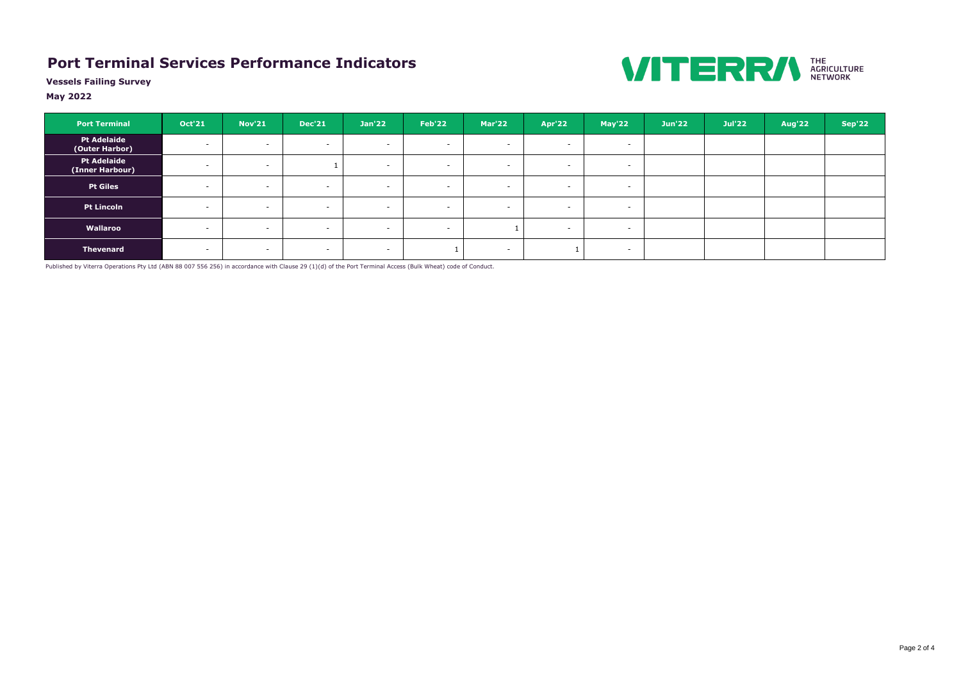# **Port Terminal Services Performance Indicators**



**Vessels Failing Survey**

### **May 2022**

| <b>Port Terminal</b>                  | <b>Oct'21</b>            | <b>Nov'21</b> | <b>Dec'21</b>            | <b>Jan'22</b> | <b>Feb'22</b>            | <b>Mar'22</b> | <b>Apr'22</b>            | May'22                   | <b>Jun'22</b> | <b>Jul'22</b> | Aug'22 | <b>Sep'22</b> |
|---------------------------------------|--------------------------|---------------|--------------------------|---------------|--------------------------|---------------|--------------------------|--------------------------|---------------|---------------|--------|---------------|
| <b>Pt Adelaide</b><br>(Outer Harbor)  | $\overline{\phantom{0}}$ | $\sim$        | $\sim$                   | $\sim$        | $\overline{\phantom{0}}$ | $\sim$        | $\sim$                   | $\overline{\phantom{a}}$ |               |               |        |               |
| <b>Pt Adelaide</b><br>(Inner Harbour) | $\sim$                   | $\sim$        |                          | $\sim$        | $\overline{\phantom{0}}$ | $\sim$        | $\overline{\phantom{0}}$ | $\overline{\phantom{0}}$ |               |               |        |               |
| <b>Pt Giles</b>                       | $\overline{\phantom{0}}$ |               | $\sim$                   | $\sim$        | $\overline{\phantom{0}}$ | $\sim$        | $\sim$                   | $\overline{\phantom{0}}$ |               |               |        |               |
| <b>Pt Lincoln</b>                     | $\overline{\phantom{0}}$ | $\sim$        | $\sim$                   | $\sim$        | $\overline{\phantom{0}}$ | $\sim$        | $\sim$                   | $\overline{\phantom{0}}$ |               |               |        |               |
| Wallaroo                              | $\sim$                   |               | $\sim$                   | $\sim$        | $\overline{\phantom{0}}$ |               | $\overline{\phantom{0}}$ | $\overline{\phantom{a}}$ |               |               |        |               |
| <b>Thevenard</b>                      | $\overline{\phantom{0}}$ |               | $\overline{\phantom{0}}$ | $\sim$        |                          | $\sim$        |                          | $\overline{\phantom{0}}$ |               |               |        |               |

Published by Viterra Operations Pty Ltd (ABN 88 007 556 256) in accordance with Clause 29 (1)(d) of the Port Terminal Access (Bulk Wheat) code of Conduct.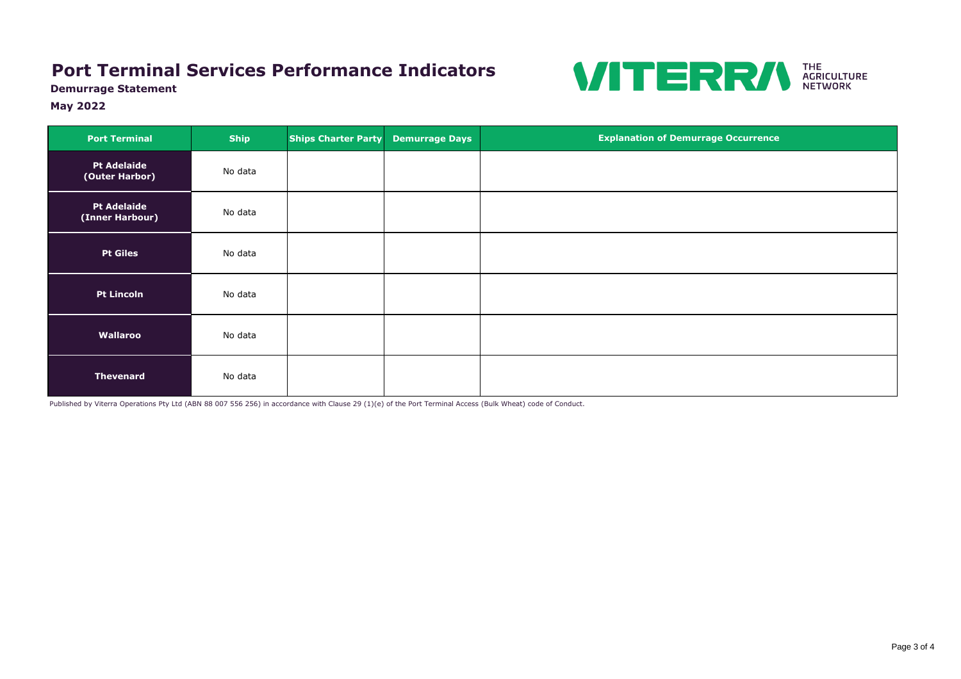**Demurrage Statement**

### **May 2022**

| <b>Port Terminal</b>                  | <b>Ship</b> | <b>Ships Charter Party</b> | <b>Demurrage Days</b> | <b>Explanation of Demurrage Occurrence</b> |
|---------------------------------------|-------------|----------------------------|-----------------------|--------------------------------------------|
| <b>Pt Adelaide</b><br>(Outer Harbor)  | No data     |                            |                       |                                            |
| <b>Pt Adelaide</b><br>(Inner Harbour) | No data     |                            |                       |                                            |
| <b>Pt Giles</b>                       | No data     |                            |                       |                                            |
| <b>Pt Lincoln</b>                     | No data     |                            |                       |                                            |
| Wallaroo                              | No data     |                            |                       |                                            |
| <b>Thevenard</b>                      | No data     |                            |                       |                                            |

Published by Viterra Operations Pty Ltd (ABN 88 007 556 256) in accordance with Clause 29 (1)(e) of the Port Terminal Access (Bulk Wheat) code of Conduct.

| ence |  |  |
|------|--|--|
|      |  |  |
|      |  |  |
|      |  |  |
|      |  |  |
|      |  |  |
|      |  |  |
|      |  |  |
|      |  |  |
|      |  |  |

## **Port Terminal Services Performance Indicators**